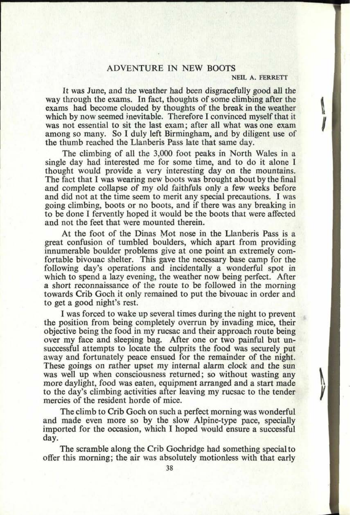## ADVENTURE IN NEW BOOTS

## **NEIL A. FERRETT**

*\\ n*

ľ,

It was June, and the weather had been disgracefully good all the way through the exams. In fact, thoughts of some climbing after the exams had become clouded by thoughts of the break in the weather which by now seemed inevitable. Therefore I convinced myself that it was not essential to sit the last exam; after all what was one exam among so many. So I duly left Birmingham, and by diligent use of the thumb reached the Llanberis Pass late that same day.

The climbing of all the 3,000 foot peaks in North Wales in a single day had interested me for some time, and to do it alone I thought would provide a very interesting day on the mountains. The fact that I was wearing new boots was brought about by the final and complete collapse of my old faithfuls only a few weeks before and did not at the time seem to merit any special precautions. I was going climbing, boots or no boots, and if there was any breaking in to be done I fervently hoped it would be the boots that were affected and not the feet that were mounted therein.

At the foot of the Dinas Mot nose in the Llanberis Pass is a great confusion of tumbled boulders, which apart from providing innumerable boulder problems give at one point an extremely comfortable bivouac shelter. This gave the necessary base camp for the following day's operations and incidentally a wonderful spot in which to spend a lazy evening, the weather now being perfect. After a short reconnaissance of the route to be followed in the morning towards Crib Goch it only remained to put the bivouac in order and to get a good night's rest.

I was forced to wake up several times during the night to prevent the position from being completely overrun by invading mice, their objective being the food in my rucsac and their approach route being over my face and sleeping bag. After one or two painful but unsuccessful attempts to locate the culprits the food was securely put away and fortunately peace ensued for the remainder of the night. These goings on rather upset my internal alarm clock and the sun was well up when consciousness returned; so without wasting any more daylight, food was eaten, equipment arranged and a start made to the day's climbing activities after leaving my rucsac to the tender mercies of the resident horde of mice.

The climb to Crib Goch on such a perfect morning was wonderful and made even more so by the slow Alpine-type pace, specially imported for the occasion, which I hoped would ensure a successful day.

The scramble along the Crib Gochridge had something special to offer this morning; the air was absolutely motionless with that early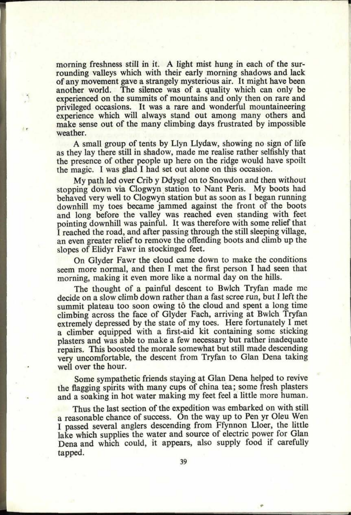morning freshness still in it. A light mist hung in each of the surrounding valleys which with their early morning shadows and lack of any movement gave <sup>a</sup>strangely mysterious air. It might have been another world. The silence was of a quality which can only be experienced on the summits of mountains and only then on rare and privileged occasions. It was a rare and wonderful mountaineering experience which will always stand out among many others and make sense out of the many climbing days frustrated by impossible weather.

<sup>A</sup>small group of tents by Llyn Llydaw, showing no sign of life as they lay there still in shadow, made me realise rather selfishly that the presence of other people up here on the ridge would have spoilt the magic. I was glad I had set out alone on this occasion.

My path led over Crib y Ddysgl on to Snowdon and then without stopping down via Clogwyn station to Nant Peris. My boots had behaved very well to Clogwyn station but as soon as I began running downhill my toes became jammed against the front of the boots and long before the valley was reached even standing with feet pointing downhill was painful. It was therefore with some relief that *<sup>I</sup>*reached the road, and after passing through the still sleeping village, an even greater relief to remove the offending boots and climb up the slopes of Elidyr Fawr in stockinged feet.

On Glyder Fawr the cloud came down to make the conditions seem more normal, and then I met the first person I had seen that morning, making it even more like a normal day on the hills.

The thought of a painful descent to Bwlch Tryfan made me decide on <sup>a</sup>slow climb down rather than a fast scree run, but I left the summit plateau too soon owing tô the cloud and spent a long time climbing across the face of Glyder Fach, arriving at Bwlch Tryfan extremely depressed by the state of my toes. Here fortunately I met a climber equipped with a first-aid kit containing some sticking <sup>p</sup>lasters and was able to make a few necessary but rather inadequate repairs. This boosted the morale somewhat but still made descending very uncomfortable, the descent from Tryfan to Glan Dena taking well over the hour.

Some sympathetic friends staying at Glan Dena helped to revive the flagging spirits with many cups of china tea; some fresh plasters and a soaking in hot water making my feet feel a little more human.

Thus the last section of the expedition was embarked on with still a reasonable chance of success. On the way up to Pen yr Oleu Wen <sup>I</sup>passed several anglers descending from Ffynnon Lloer, the little lake which supplies the water and source of electric power for Glan Dena and which could, it appears, also supply food if carefully tapped.